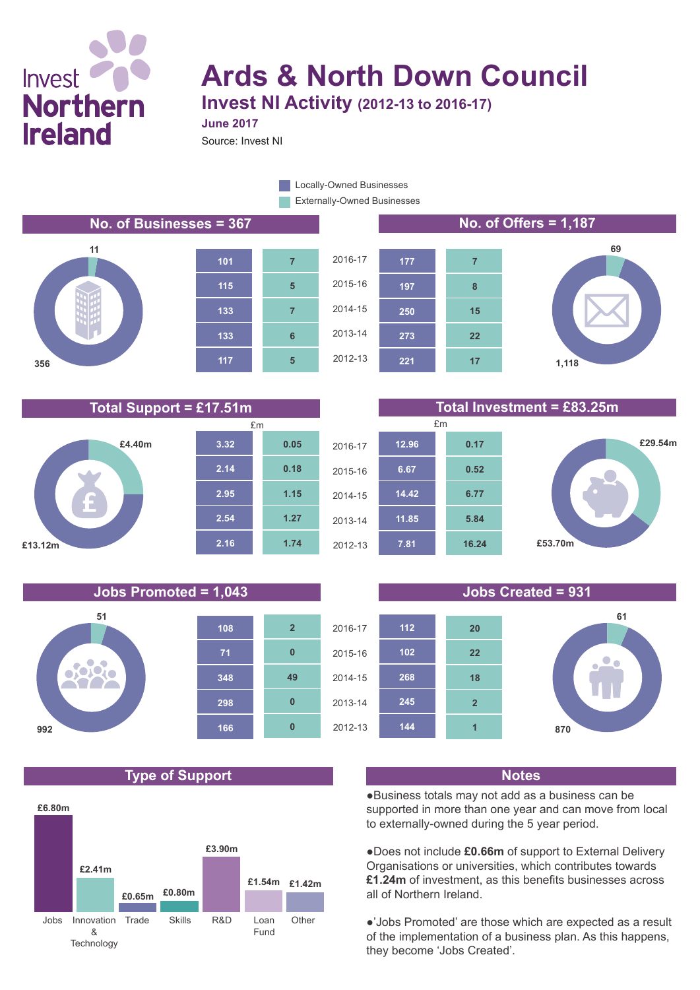## Invest **Northern Ireland**

## **Ards & North Down Council**

**Invest NI Activity (2012-13 to 2016-17)**

Source: Invest NI **June 2017**

> Externally-Owned Businesses Locally-Owned Businesses

> > 2016-17

2015-16

2014-15

2013-14

2012-13

**5**

**6**

**7**

**5**

**7**

### **No. of Businesses = 367 No. of Offers = 1,187**





**7.81**

**11.85**

# **69**









**16.24**

**5.84**

**6.77**

# **£29.54m £53.70m**

## **Jobs Promoted = 1,043 Jobs Created = 931**



## **Type of Support Notes**





●Business totals may not add as a business can be supported in more than one year and can move from local to externally-owned during the 5 year period.

●Does not include **£0.66m** of support to External Delivery Organisations or universities, which contributes towards **£1.24m** of investment, as this benefits businesses across all of Northern Ireland.

●'Jobs Promoted' are those which are expected as a result of the implementation of a business plan. As this happens, they become 'Jobs Created'.